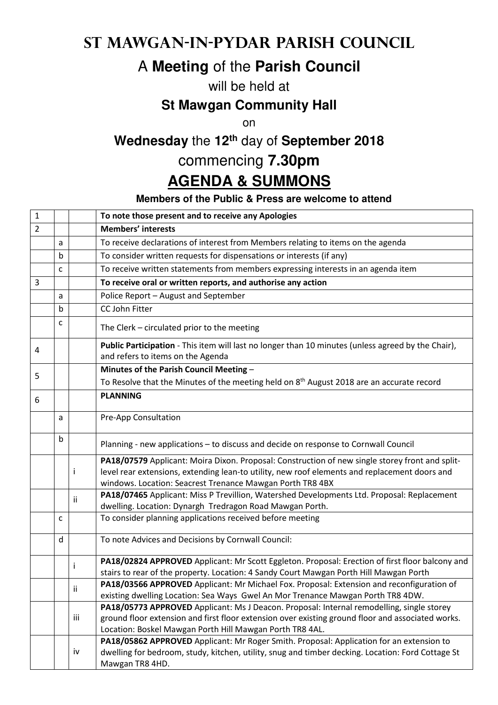#### **St Mawgan-in-Pydar Parish Council**

# A **Meeting** of the **Parish Council**

#### will be held at

#### **St Mawgan Community Hall**

on

## **Wednesday** the **12th** day of **September 2018**

### commencing **7.30pm**

## **AGENDA & SUMMONS**

#### **Members of the Public & Press are welcome to attend**

| $\mathbf 1$    |              |     | To note those present and to receive any Apologies                                                                                                                                                                                                            |
|----------------|--------------|-----|---------------------------------------------------------------------------------------------------------------------------------------------------------------------------------------------------------------------------------------------------------------|
| $\overline{2}$ |              |     | <b>Members' interests</b>                                                                                                                                                                                                                                     |
|                | a            |     | To receive declarations of interest from Members relating to items on the agenda                                                                                                                                                                              |
|                | b            |     | To consider written requests for dispensations or interests (if any)                                                                                                                                                                                          |
|                | $\mathsf{C}$ |     | To receive written statements from members expressing interests in an agenda item                                                                                                                                                                             |
| 3              |              |     | To receive oral or written reports, and authorise any action                                                                                                                                                                                                  |
|                | a            |     | Police Report - August and September                                                                                                                                                                                                                          |
|                | b            |     | CC John Fitter                                                                                                                                                                                                                                                |
|                | c            |     | The Clerk - circulated prior to the meeting                                                                                                                                                                                                                   |
| 4              |              |     | Public Participation - This item will last no longer than 10 minutes (unless agreed by the Chair),<br>and refers to items on the Agenda                                                                                                                       |
| 5              |              |     | Minutes of the Parish Council Meeting -                                                                                                                                                                                                                       |
|                |              |     | To Resolve that the Minutes of the meeting held on 8 <sup>th</sup> August 2018 are an accurate record                                                                                                                                                         |
| 6              |              |     | <b>PLANNING</b>                                                                                                                                                                                                                                               |
|                | a            |     | Pre-App Consultation                                                                                                                                                                                                                                          |
|                | b            |     | Planning - new applications - to discuss and decide on response to Cornwall Council                                                                                                                                                                           |
|                |              | İ   | PA18/07579 Applicant: Moira Dixon. Proposal: Construction of new single storey front and split-<br>level rear extensions, extending lean-to utility, new roof elements and replacement doors and<br>windows. Location: Seacrest Trenance Mawgan Porth TR8 4BX |
|                |              | ii  | PA18/07465 Applicant: Miss P Trevillion, Watershed Developments Ltd. Proposal: Replacement<br>dwelling. Location: Dynargh Tredragon Road Mawgan Porth.                                                                                                        |
|                | c            |     | To consider planning applications received before meeting                                                                                                                                                                                                     |
|                | d            |     | To note Advices and Decisions by Cornwall Council:                                                                                                                                                                                                            |
|                |              | i   | PA18/02824 APPROVED Applicant: Mr Scott Eggleton. Proposal: Erection of first floor balcony and<br>stairs to rear of the property. Location: 4 Sandy Court Mawgan Porth Hill Mawgan Porth                                                                     |
|                |              | ij  | PA18/03566 APPROVED Applicant: Mr Michael Fox. Proposal: Extension and reconfiguration of<br>existing dwelling Location: Sea Ways Gwel An Mor Trenance Mawgan Porth TR8 4DW.                                                                                  |
|                |              | iii | PA18/05773 APPROVED Applicant: Ms J Deacon. Proposal: Internal remodelling, single storey<br>ground floor extension and first floor extension over existing ground floor and associated works.<br>Location: Boskel Mawgan Porth Hill Mawgan Porth TR8 4AL.    |
|                |              | iv  | PA18/05862 APPROVED Applicant: Mr Roger Smith. Proposal: Application for an extension to<br>dwelling for bedroom, study, kitchen, utility, snug and timber decking. Location: Ford Cottage St<br>Mawgan TR8 4HD.                                              |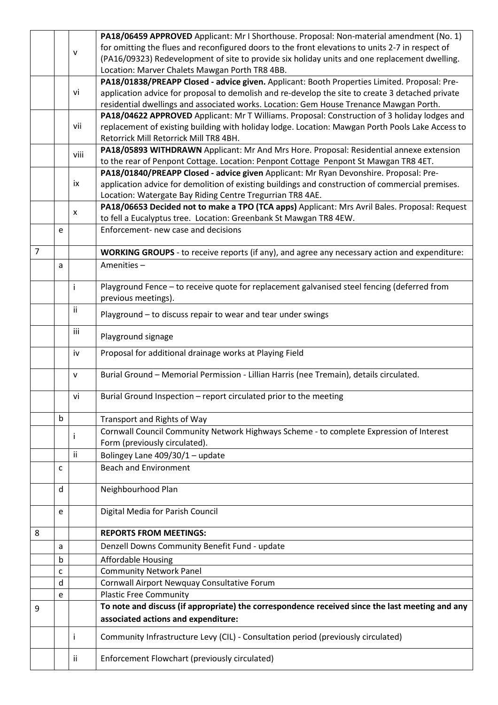|                |        |      | PA18/06459 APPROVED Applicant: Mr I Shorthouse. Proposal: Non-material amendment (No. 1)             |
|----------------|--------|------|------------------------------------------------------------------------------------------------------|
|                |        | v    | for omitting the flues and reconfigured doors to the front elevations to units 2-7 in respect of     |
|                |        |      | (PA16/09323) Redevelopment of site to provide six holiday units and one replacement dwelling.        |
|                |        |      | Location: Marver Chalets Mawgan Porth TR8 4BB.                                                       |
|                |        |      | PA18/01838/PREAPP Closed - advice given. Applicant: Booth Properties Limited. Proposal: Pre-         |
|                |        | vi   | application advice for proposal to demolish and re-develop the site to create 3 detached private     |
|                |        |      | residential dwellings and associated works. Location: Gem House Trenance Mawgan Porth.               |
|                |        |      | PA18/04622 APPROVED Applicant: Mr T Williams. Proposal: Construction of 3 holiday lodges and         |
|                |        | vii  | replacement of existing building with holiday lodge. Location: Mawgan Porth Pools Lake Access to     |
|                |        |      | Retorrick Mill Retorrick Mill TR8 4BH.                                                               |
|                |        |      | PA18/05893 WITHDRAWN Applicant: Mr And Mrs Hore. Proposal: Residential annexe extension              |
|                |        | viii | to the rear of Penpont Cottage. Location: Penpont Cottage Penpont St Mawgan TR8 4ET.                 |
|                |        |      | PA18/01840/PREAPP Closed - advice given Applicant: Mr Ryan Devonshire. Proposal: Pre-                |
|                |        | ix   | application advice for demolition of existing buildings and construction of commercial premises.     |
|                |        |      | Location: Watergate Bay Riding Centre Tregurrian TR8 4AE.                                            |
|                |        |      | PA18/06653 Decided not to make a TPO (TCA apps) Applicant: Mrs Avril Bales. Proposal: Request        |
|                |        | x    | to fell a Eucalyptus tree. Location: Greenbank St Mawgan TR8 4EW.                                    |
|                | e      |      | Enforcement- new case and decisions                                                                  |
|                |        |      |                                                                                                      |
| $\overline{7}$ |        |      | <b>WORKING GROUPS</b> - to receive reports (if any), and agree any necessary action and expenditure: |
|                | a      |      | Amenities-                                                                                           |
|                |        |      |                                                                                                      |
|                |        | j.   | Playground Fence - to receive quote for replacement galvanised steel fencing (deferred from          |
|                |        |      | previous meetings).                                                                                  |
|                |        | ii.  |                                                                                                      |
|                |        |      | Playground - to discuss repair to wear and tear under swings                                         |
|                |        | iii  | Playground signage                                                                                   |
|                |        |      |                                                                                                      |
|                |        | iv   | Proposal for additional drainage works at Playing Field                                              |
|                |        |      |                                                                                                      |
|                |        | v    | Burial Ground - Memorial Permission - Lillian Harris (nee Tremain), details circulated.              |
|                |        | vi   | Burial Ground Inspection - report circulated prior to the meeting                                    |
|                |        |      |                                                                                                      |
|                | b      |      | Transport and Rights of Way                                                                          |
|                |        |      | Cornwall Council Community Network Highways Scheme - to complete Expression of Interest              |
|                |        | T    | Form (previously circulated).                                                                        |
|                |        | ii   | Bolingey Lane 409/30/1 - update                                                                      |
|                |        |      |                                                                                                      |
|                | C      |      | <b>Beach and Environment</b>                                                                         |
|                | d      |      | Neighbourhood Plan                                                                                   |
|                |        |      |                                                                                                      |
|                | e      |      | Digital Media for Parish Council                                                                     |
|                |        |      |                                                                                                      |
| 8              |        |      | <b>REPORTS FROM MEETINGS:</b>                                                                        |
|                | a      |      | Denzell Downs Community Benefit Fund - update                                                        |
|                | b      |      | <b>Affordable Housing</b>                                                                            |
|                |        |      | <b>Community Network Panel</b>                                                                       |
|                | C<br>d |      | Cornwall Airport Newquay Consultative Forum                                                          |
|                |        |      | <b>Plastic Free Community</b>                                                                        |
|                | e      |      | To note and discuss (if appropriate) the correspondence received since the last meeting and any      |
| 9              |        |      |                                                                                                      |
|                |        |      | associated actions and expenditure:                                                                  |
|                |        | Ť    | Community Infrastructure Levy (CIL) - Consultation period (previously circulated)                    |
|                |        |      |                                                                                                      |
|                |        | Ϊİ   | Enforcement Flowchart (previously circulated)                                                        |
|                |        |      |                                                                                                      |